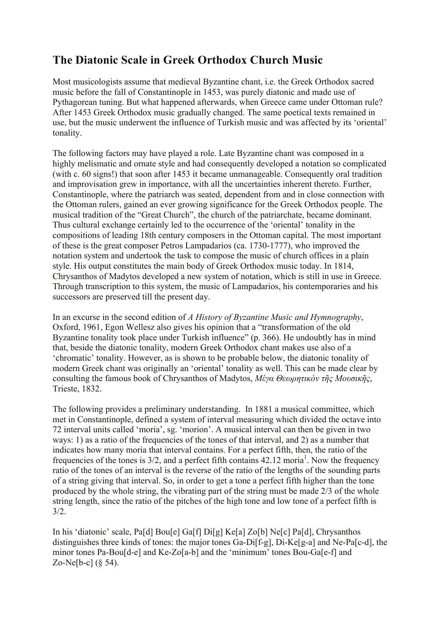## **The Diatonic Scale in Greek Orthodox Church Music**

Most musicologists assume that medieval Byzantine chant, i.e. the Greek Orthodox sacred music before the fall of Constantinople in 1453, was purely diatonic and made use of Pythagorean tuning. But what happened afterwards, when Greece came under Ottoman rule? After 1453 Greek Orthodox music gradually changed. The same poetical texts remained in use, but the music underwent the influence of Turkish music and was affected by its 'oriental' tonality.

The following factors may have played a role. Late Byzantine chant was composed in a highly melismatic and ornate style and had consequently developed a notation so complicated (with c. 60 signs!) that soon after 1453 it became unmanageable. Consequently oral tradition and improvisation grew in importance, with all the uncertainties inherent thereto. Further, Constantinople, where the patriarch was seated, dependent from and in close connection with the Ottoman rulers, gained an ever growing significance for the Greek Orthodox people. The musical tradition of the "Great Church", the church of the patriarchate, became dominant. Thus cultural exchange certainly led to the occurrence of the 'oriental' tonality in the compositions of leading 18th century composers in the Ottoman capital. The most important of these is the great composer Petros Lampadarios (ca. 1730-1777), who improved the notation system and undertook the task to compose the music of church offices in a plain style. His output constitutes the main body of Greek Orthodox music today. In 1814, Chrysanthos of Madytos developed a new system of notation, which is still in use in Greece. Through transcription to this system, the music of Lampadarios, his contemporaries and his successors are preserved till the present day.

In an excurse in the second edition of *A History of Byzantine Music and Hymnography*, Oxford, 1961, Egon Wellesz also gives his opinion that a "transformation of the old Byzantine tonality took place under Turkish influence" (p. 366). He undoubtly has in mind that, beside the diatonic tonality, modern Greek Orthodox chant makes use also of a 'chromatic' tonality. However, as is shown to be probable below, the diatonic tonality of modern Greek chant was originally an 'oriental' tonality as well. This can be made clear by consulting the famous book of Chrysanthos of Madytos, *Μέγα Θεωρητικὸν τῆς Μουσικῆς*, Trieste, 1832.

The following provides a preliminary understanding. In 1881 a musical committee, which met in Constantinople, defined a system of interval measuring which divided the octave into 72 interval units called 'moria', sg. 'morion'. A musical interval can then be given in two ways: 1) as a ratio of the frequencies of the tones of that interval, and 2) as a number that indicates how many moria that interval contains. For a perfect fifth, then, the ratio of the frequencies of the tones is  $3/2$ , and a perfect fifth contains  $42.12$  moria<sup>1</sup>. Now the frequency ratio of the tones of an interval is the reverse of the ratio of the lengths of the sounding parts of a string giving that interval. So, in order to get a tone a perfect fifth higher than the tone produced by the whole string, the vibrating part of the string must be made 2/3 of the whole string length, since the ratio of the pitches of the high tone and low tone of a perfect fifth is 3/2.

In his 'diatonic' scale, Pa[d] Bou[e] Ga[f] Di[g] Ke[a] Zo[b] Ne[c] Pa[d], Chrysanthos distinguishes three kinds of tones: the major tones Ga-Di[f-g], Di-Ke[g-a] and Ne-Pa[c-d], the minor tones Pa-Bou[d-e] and Ke-Zo[a-b] and the 'minimum' tones Bou-Ga[e-f] and Zo-Ne[b-c] (§ 54).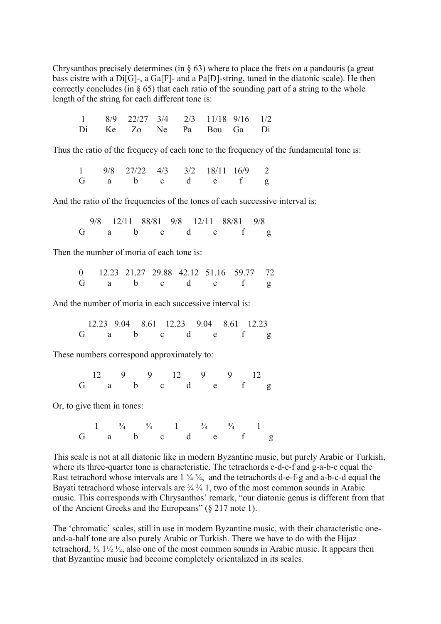Chrysanthos precisely determines (in § 63) where to place the frets on a pandouris (a great bass cistre with a Di<sup>[G]</sup>-, a Ga<sup>[F]</sup>- and a Pa<sup>[D]</sup>-string, tuned in the diatonic scale). He then correctly concludes (in  $\S$  65) that each ratio of the sounding part of a string to the whole length of the string for each different tone is:

|  | $1 \t 8/9 \t 22/27 \t 3/4 \t 2/3 \t 11/18 \t 9/16 \t 1/2$ |  |  |  |
|--|-----------------------------------------------------------|--|--|--|
|  | Di Ke Zo Ne Pa Bou Ga Di                                  |  |  |  |

Thus the ratio of the frequecy of each tone to the frequency of the fundamental tone is:

1 9/8 27/22 4/3 3/2 18/11 16/9 2<br>
G a b c d e f g G a b c d e f g

And the ratio of the frequencies of the tones of each successive interval is:

 9/8 12/11 88/81 9/8 12/11 88/81 9/8 G a b c d e f g

Then the number of moria of each tone is:

0 12.23 21.27 29.88 42.12 51.16 59.77 72 G a b c d e f g

And the number of moria in each successive interval is:

 12.23 9.04 8.61 12.23 9.04 8.61 12.23 G a b c d e f g

These numbers correspond approximately to:

 12 9 9 12 9 9 12 G a b c d e f g

Or, to give them in tones:

1  $\frac{3}{4}$   $\frac{3}{4}$  1  $\frac{3}{4}$   $\frac{3}{4}$  1 G a b c d e f g

This scale is not at all diatonic like in modern Byzantine music, but purely Arabic or Turkish, where its three-quarter tone is characteristic. The tetrachords c-d-e-f and g-a-b-c equal the Rast tetrachord whose intervals are  $1\frac{3}{4}\frac{3}{4}$ , and the tetrachords d-e-f-g and a-b-c-d equal the Bayati tetrachord whose intervals are  $\frac{3}{4}$   $\frac{3}{4}$  1, two of the most common sounds in Arabic music. This corresponds with Chrysanthos' remark, "our diatonic genus is different from that of the Ancient Greeks and the Europeans" (§ 217 note 1).

The 'chromatic' scales, still in use in modern Byzantine music, with their characteristic oneand-a-half tone are also purely Arabic or Turkish. There we have to do with the Hijaz tetrachord,  $\frac{1}{2}$   $\frac{1}{2}$   $\frac{1}{2}$   $\frac{1}{2}$ , also one of the most common sounds in Arabic music. It appears then that Byzantine music had become completely orientalized in its scales.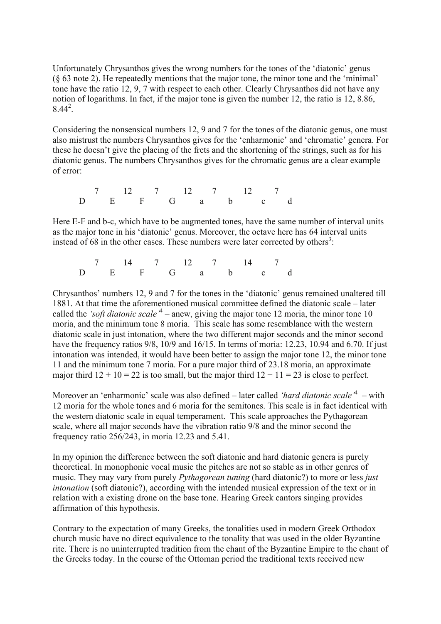Unfortunately Chrysanthos gives the wrong numbers for the tones of the 'diatonic' genus (§ 63 note 2). He repeatedly mentions that the major tone, the minor tone and the 'minimal' tone have the ratio 12, 9, 7 with respect to each other. Clearly Chrysanthos did not have any notion of logarithms. In fact, if the major tone is given the number 12, the ratio is 12, 8.86,  $8.44^2$ .

Considering the nonsensical numbers 12, 9 and 7 for the tones of the diatonic genus, one must also mistrust the numbers Chrysanthos gives for the 'enharmonic' and 'chromatic' genera. For these he doesn't give the placing of the frets and the shortening of the strings, such as for his diatonic genus. The numbers Chrysanthos gives for the chromatic genus are a clear example of error:

 $7 \t 12 \t 7 \t 12 \t 7 \t 12 \t 7$ D E F G a b c d

Here E-F and b-c, which have to be augmented tones, have the same number of interval units as the major tone in his 'diatonic' genus. Moreover, the octave here has 64 interval units instead of 68 in the other cases. These numbers were later corrected by others<sup>3</sup>:

7 14 7 12 7 14 7<br>E F G a b c D E F G a b c d

Chrysanthos' numbers 12, 9 and 7 for the tones in the 'diatonic' genus remained unaltered till 1881. At that time the aforementioned musical committee defined the diatonic scale – later called the *'soft diatonic scale'* <sup>4</sup> – anew, giving the major tone 12 moria, the minor tone 10 moria, and the minimum tone 8 moria. This scale has some resemblance with the western diatonic scale in just intonation, where the two different major seconds and the minor second have the frequency ratios 9/8, 10/9 and 16/15. In terms of moria: 12.23, 10.94 and 6.70. If just intonation was intended, it would have been better to assign the major tone 12, the minor tone 11 and the minimum tone 7 moria. For a pure major third of 23.18 moria, an approximate major third  $12 + 10 = 22$  is too small, but the major third  $12 + 11 = 23$  is close to perfect.

Moreover an 'enharmonic' scale was also defined – later called *'hard diatonic scale'* <sup>4</sup> – with 12 moria for the whole tones and 6 moria for the semitones. This scale is in fact identical with the western diatonic scale in equal temperament. This scale approaches the Pythagorean scale, where all major seconds have the vibration ratio 9/8 and the minor second the frequency ratio 256/243, in moria 12.23 and 5.41.

In my opinion the difference between the soft diatonic and hard diatonic genera is purely theoretical. In monophonic vocal music the pitches are not so stable as in other genres of music. They may vary from purely *Pythagorean tuning* (hard diatonic?) to more or less *just intonation* (soft diatonic?), according with the intended musical expression of the text or in relation with a existing drone on the base tone. Hearing Greek cantors singing provides affirmation of this hypothesis.

Contrary to the expectation of many Greeks, the tonalities used in modern Greek Orthodox church music have no direct equivalence to the tonality that was used in the older Byzantine rite. There is no uninterrupted tradition from the chant of the Byzantine Empire to the chant of the Greeks today. In the course of the Ottoman period the traditional texts received new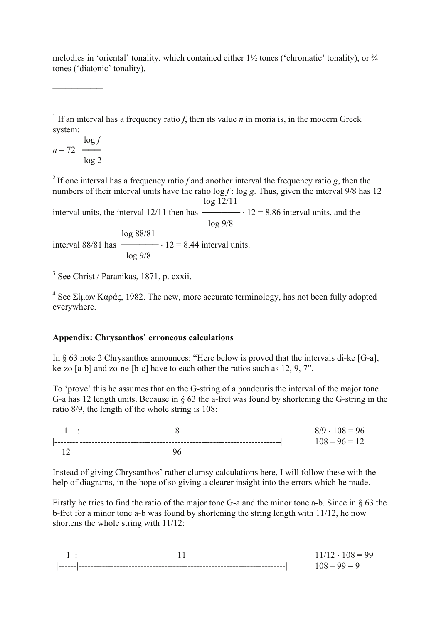melodies in 'oriental' tonality, which contained either  $1\frac{1}{2}$  tones ('chromatic' tonality), or  $\frac{3}{4}$ tones ('diatonic' tonality).

<sup>1</sup> If an interval has a frequency ratio *f*, then its value *n* in moria is, in the modern Greek system:

$$
n = 72 \frac{\log f}{\log 2}
$$

────────

<sup>2</sup> If one interval has a frequency ratio *f* and another interval the frequency ratio *g*, then the numbers of their interval units have the ratio log *f* : log *g*. Thus, given the interval 9/8 has 12 log 12/11

interval units, the interval  $12/11$  then has  $\frac{12}{8.86}$  interval units, and the

 log 9/8 log 88/81 interval  $88/81$  has  $\longrightarrow$   $\cdot$  12 = 8.44 interval units. log 9/8

<sup>3</sup> See Christ / Paranikas, 1871, p. cxxii.

 $4$  See Σίμων Καράς, 1982. The new, more accurate terminology, has not been fully adopted everywhere.

## **Appendix: Chrysanthos' erroneous calculations**

In § 63 note 2 Chrysanthos announces: "Here below is proved that the intervals di-ke [G-a], ke-zo [a-b] and zo-ne [b-c] have to each other the ratios such as 12, 9, 7".

To 'prove' this he assumes that on the G-string of a pandouris the interval of the major tone G-a has 12 length units. Because in § 63 the a-fret was found by shortening the G-string in the ratio 8/9, the length of the whole string is 108:

| and the state | $8/9 \cdot 108 = 96$ |
|---------------|----------------------|
|               | $108 - 96 = 12$      |
|               |                      |

Instead of giving Chrysanthos' rather clumsy calculations here, I will follow these with the help of diagrams, in the hope of so giving a clearer insight into the errors which he made.

Firstly he tries to find the ratio of the major tone G-a and the minor tone a-b. Since in § 63 the b-fret for a minor tone a-b was found by shortening the string length with 11/12, he now shortens the whole string with 11/12:

|  | $108 = 99$ |
|--|------------|
|  | ---------- |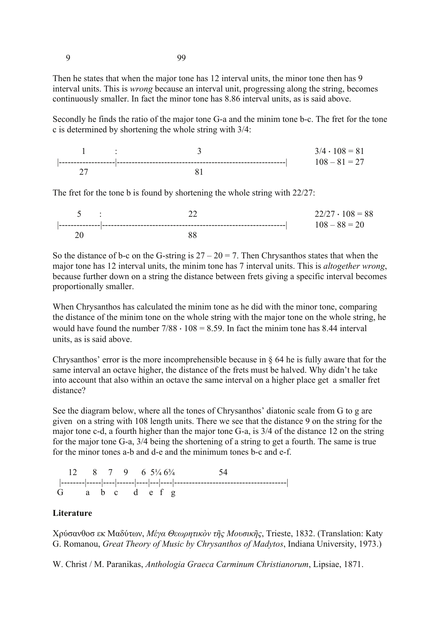9 99

Then he states that when the major tone has 12 interval units, the minor tone then has 9 interval units. This is *wrong* because an interval unit, progressing along the string, becomes continuously smaller. In fact the minor tone has 8.86 interval units, as is said above.

Secondly he finds the ratio of the major tone G-a and the minim tone b-c. The fret for the tone c is determined by shortening the whole string with 3/4:



The fret for the tone b is found by shortening the whole string with 22/27:

|   | $5 \quad \vdots$ | $22/27 \cdot 108 = 88$ |
|---|------------------|------------------------|
| - |                  | $108 - 88 = 20$        |
|   |                  |                        |

So the distance of b-c on the G-string is  $27 - 20 = 7$ . Then Chrysanthos states that when the major tone has 12 interval units, the minim tone has 7 interval units. This is *altogether wrong*, because further down on a string the distance between frets giving a specific interval becomes proportionally smaller.

When Chrysanthos has calculated the minim tone as he did with the minor tone, comparing the distance of the minim tone on the whole string with the major tone on the whole string, he would have found the number  $7/88 \cdot 108 = 8.59$ . In fact the minim tone has 8.44 interval units, as is said above.

Chrysanthos' error is the more incomprehensible because in § 64 he is fully aware that for the same interval an octave higher, the distance of the frets must be halved. Why didn't he take into account that also within an octave the same interval on a higher place get a smaller fret distance?

See the diagram below, where all the tones of Chrysanthos' diatonic scale from G to g are given on a string with 108 length units. There we see that the distance 9 on the string for the major tone c-d, a fourth higher than the major tone G-a, is 3/4 of the distance 12 on the string for the major tone G-a, 3/4 being the shortening of a string to get a fourth. The same is true for the minor tones a-b and d-e and the minimum tones b-c and e-f.

 $12 \t 8 \t 7 \t 9 \t 6 \t 5\frac{1}{4} \t 6\frac{3}{4} \t 54$  |--------|-----|----|------|----|---|----|--------------------------------------|  $G$  a b c d e f g

## **Literature**

Χρύσανθοσ εκ Μαδύτων, *Μέγα Θεωρητικὸν τῆς Μουσικῆς*, Trieste, 1832. (Translation: Katy G. Romanou, *Great Theory of Music by Chrysanthos of Madytos*, Indiana University, 1973.)

W. Christ / M. Paranikas, *Anthologia Graeca Carminum Christianorum*, Lipsiae, 1871.